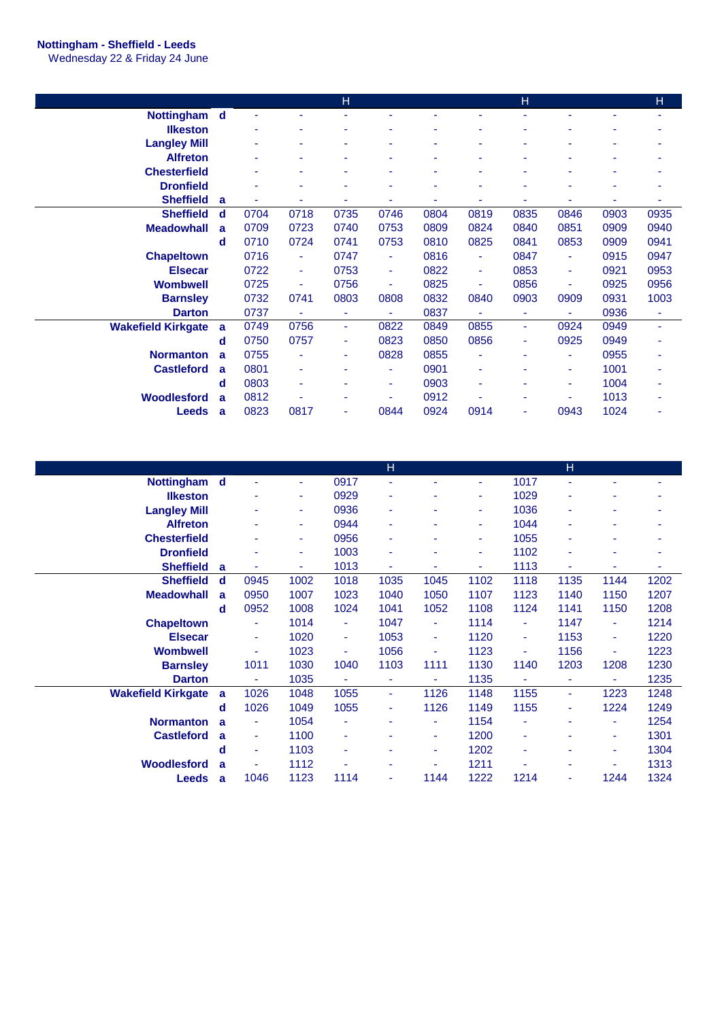## **Nottingham - Sheffield - Leeds**

Wednesday 22 & Friday 24 June

|                           |             |      |      | H    |                |                |                | H              |      |      | H    |
|---------------------------|-------------|------|------|------|----------------|----------------|----------------|----------------|------|------|------|
| Nottingham d              |             |      |      |      |                |                |                |                |      |      |      |
| <b>Ilkeston</b>           |             | ۰    |      |      | ٠              |                | ۰              |                |      | ۰    |      |
| <b>Langley Mill</b>       |             |      |      |      |                |                |                |                |      |      |      |
| <b>Alfreton</b>           |             |      |      |      |                |                | ۰              |                |      |      |      |
| <b>Chesterfield</b>       |             | ٠    |      |      | ٠              | ٠              | ۰              |                |      | ۰    |      |
| <b>Dronfield</b>          |             |      |      |      | ۰              | $\blacksquare$ | ۰              |                |      | ۰    |      |
| <b>Sheffield</b>          | a           |      | ٠    |      | ٠              | ۰              | ۰              |                |      | ٠    | ۰    |
| <b>Sheffield</b>          | $\mathbf d$ | 0704 | 0718 | 0735 | 0746           | 0804           | 0819           | 0835           | 0846 | 0903 | 0935 |
| <b>Meadowhall</b>         | a           | 0709 | 0723 | 0740 | 0753           | 0809           | 0824           | 0840           | 0851 | 0909 | 0940 |
|                           | d           | 0710 | 0724 | 0741 | 0753           | 0810           | 0825           | 0841           | 0853 | 0909 | 0941 |
| <b>Chapeltown</b>         |             | 0716 | ٠    | 0747 | $\blacksquare$ | 0816           | $\blacksquare$ | 0847           | ٠    | 0915 | 0947 |
| <b>Elsecar</b>            |             | 0722 | ÷    | 0753 | ٠              | 0822           | $\blacksquare$ | 0853           | ٠    | 0921 | 0953 |
| <b>Wombwell</b>           |             | 0725 | ٠    | 0756 | ä,             | 0825           | ٠              | 0856           |      | 0925 | 0956 |
| <b>Barnsley</b>           |             | 0732 | 0741 | 0803 | 0808           | 0832           | 0840           | 0903           | 0909 | 0931 | 1003 |
| <b>Darton</b>             |             | 0737 | ٠    | ٠    | ۰              | 0837           | $\blacksquare$ | ٠              |      | 0936 | ٠    |
| <b>Wakefield Kirkgate</b> | a           | 0749 | 0756 | ٠    | 0822           | 0849           | 0855           | ٠              | 0924 | 0949 | ٠    |
|                           | d           | 0750 | 0757 | ٠    | 0823           | 0850           | 0856           | ٠              | 0925 | 0949 | ۰    |
| <b>Normanton</b>          | a           | 0755 | ٠    | ٠    | 0828           | 0855           | $\blacksquare$ | $\blacksquare$ | ٠    | 0955 | ۰    |
| <b>Castleford</b>         | a           | 0801 | ٠    |      | ۰              | 0901           | ٠              |                | ٠    | 1001 | ٠    |
|                           | d           | 0803 | ٠    |      | ٠              | 0903           | ٠              |                |      | 1004 |      |
| <b>Woodlesford</b>        | a           | 0812 |      |      |                | 0912           |                |                |      | 1013 |      |
| <b>Leeds</b>              | a           | 0823 | 0817 |      | 0844           | 0924           | 0914           | ٠              | 0943 | 1024 |      |

|                           |              |                |      |      | н              |      |      |                | н    |      |      |
|---------------------------|--------------|----------------|------|------|----------------|------|------|----------------|------|------|------|
| Nottingham d              |              | ٠              | ٠    | 0917 | $\blacksquare$ | ٠    | ٠    | 1017           | ÷    |      | ٠    |
| <b>Ilkeston</b>           |              |                | ٠    | 0929 | ٠              | ٠    | ٠    | 1029           | ٠    |      | ۰    |
| <b>Langley Mill</b>       |              |                | ٠    | 0936 | ٠              | ٠    | ٠    | 1036           | ٠    | ٠    | ۰    |
| <b>Alfreton</b>           |              |                | ٠    | 0944 | ٠              | ٠    | ٠    | 1044           | ٠    |      | ۰    |
| <b>Chesterfield</b>       |              |                | ٠    | 0956 | ٠              | ٠    | ٠    | 1055           | ٠    | ۰    | ۰    |
| <b>Dronfield</b>          |              | ۰              | ٠    | 1003 | ٠              | ٠    | ٠    | 1102           | ٠    | ۰    | ۰    |
| <b>Sheffield</b>          | a            |                | ٠    | 1013 | $\blacksquare$ | ٠    | ٠    | 1113           | ٠    |      | ۰    |
| <b>Sheffield</b>          | d            | 0945           | 1002 | 1018 | 1035           | 1045 | 1102 | 1118           | 1135 | 1144 | 1202 |
| <b>Meadowhall</b>         | a            | 0950           | 1007 | 1023 | 1040           | 1050 | 1107 | 1123           | 1140 | 1150 | 1207 |
|                           | d            | 0952           | 1008 | 1024 | 1041           | 1052 | 1108 | 1124           | 1141 | 1150 | 1208 |
| <b>Chapeltown</b>         |              | ٠              | 1014 | ۰    | 1047           | ٠    | 1114 | $\blacksquare$ | 1147 | Ξ    | 1214 |
| <b>Elsecar</b>            |              | $\blacksquare$ | 1020 | ٠    | 1053           | ٠    | 1120 | $\blacksquare$ | 1153 | ٠    | 1220 |
| <b>Wombwell</b>           |              | ٠              | 1023 | ٠    | 1056           | ٠    | 1123 | $\blacksquare$ | 1156 | ٠    | 1223 |
| <b>Barnsley</b>           |              | 1011           | 1030 | 1040 | 1103           | 1111 | 1130 | 1140           | 1203 | 1208 | 1230 |
| <b>Darton</b>             |              | $\blacksquare$ | 1035 | ٠    | $\blacksquare$ | ٠    | 1135 | $\blacksquare$ | ٠    | ٠    | 1235 |
| <b>Wakefield Kirkgate</b> | a            | 1026           | 1048 | 1055 | $\blacksquare$ | 1126 | 1148 | 1155           | ٠.   | 1223 | 1248 |
|                           | d            | 1026           | 1049 | 1055 | $\blacksquare$ | 1126 | 1149 | 1155           | ٠    | 1224 | 1249 |
| <b>Normanton</b>          | $\mathbf{a}$ | ÷              | 1054 | ۰    |                | ٠    | 1154 |                |      | ٠    | 1254 |
| <b>Castleford</b>         | a            | ٠              | 1100 | ٠    |                | ٠    | 1200 | ٠              |      | ٠    | 1301 |
|                           | d            | ٠              | 1103 | ٠    |                | ٠    | 1202 | ٠              |      | ٠    | 1304 |
|                           |              |                |      |      |                |      |      |                |      |      |      |
| Woodlesford               | a            |                | 1112 | ۰    |                | ٠    | 1211 |                |      |      | 1313 |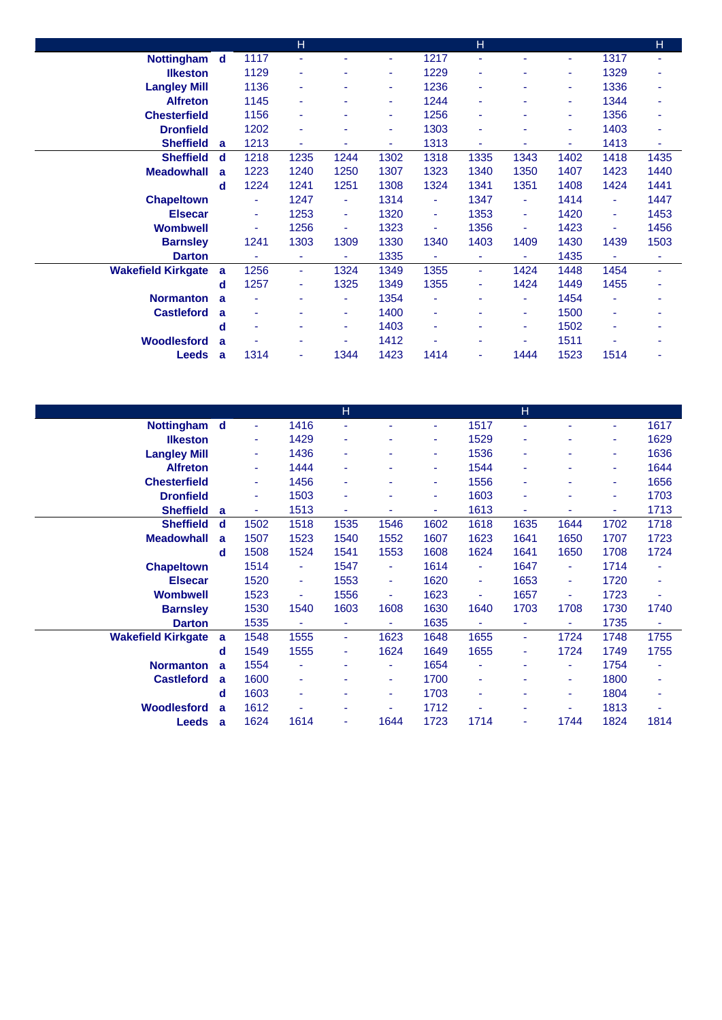|                           |             |      | H    |          |      |      | H              |      |      |                | H              |
|---------------------------|-------------|------|------|----------|------|------|----------------|------|------|----------------|----------------|
| Nottingham d              |             | 1117 | ÷.   |          | ٠    | 1217 |                |      | ٠    | 1317           | ٠              |
| <b>Ilkeston</b>           |             | 1129 | ٠    |          | ٠    | 1229 | $\blacksquare$ |      | ۰    | 1329           | ۰              |
| <b>Langley Mill</b>       |             | 1136 | ٠    | ٠        | ٠    | 1236 | ٠              | ۰    | ٠    | 1336           | ۰              |
| <b>Alfreton</b>           |             | 1145 | ٠    |          | ٠    | 1244 | $\blacksquare$ |      | ٠    | 1344           | ٠              |
| <b>Chesterfield</b>       |             | 1156 | ۰    |          | ٠    | 1256 |                |      | ٠    | 1356           | ۰              |
| <b>Dronfield</b>          |             | 1202 | ۰    |          | ٠    | 1303 |                |      | ۰    | 1403           | ٠              |
| <b>Sheffield</b>          | a           | 1213 | ٠    | ٠        | ٠    | 1313 | ٠              | ۰    | ٠    | 1413           | ٠              |
| <b>Sheffield</b>          | $\mathbf d$ | 1218 | 1235 | 1244     | 1302 | 1318 | 1335           | 1343 | 1402 | 1418           | 1435           |
| <b>Meadowhall</b>         | a           | 1223 | 1240 | 1250     | 1307 | 1323 | 1340           | 1350 | 1407 | 1423           | 1440           |
|                           | d           | 1224 | 1241 | 1251     | 1308 | 1324 | 1341           | 1351 | 1408 | 1424           | 1441           |
| <b>Chapeltown</b>         |             | ٠    | 1247 | ٠        | 1314 | ٠    | 1347           | ٠.   | 1414 | $\blacksquare$ | 1447           |
| <b>Elsecar</b>            |             | ٠    | 1253 | $\omega$ | 1320 | ٠    | 1353           | ٠    | 1420 | $\blacksquare$ | 1453           |
| <b>Wombwell</b>           |             |      | 1256 | ÷        | 1323 | ۰    | 1356           | ٠    | 1423 |                | 1456           |
| <b>Barnsley</b>           |             | 1241 | 1303 | 1309     | 1330 | 1340 | 1403           | 1409 | 1430 | 1439           | 1503           |
| <b>Darton</b>             |             |      | ٠    | Ξ        | 1335 | ۰    | ٠              | ٠    | 1435 | $\blacksquare$ | ٠              |
| <b>Wakefield Kirkgate</b> | a           | 1256 | ٠    | 1324     | 1349 | 1355 | $\blacksquare$ | 1424 | 1448 | 1454           | $\blacksquare$ |
|                           | d           | 1257 | ٠    | 1325     | 1349 | 1355 | ٠              | 1424 | 1449 | 1455           | ۰              |
| <b>Normanton</b>          | a           |      | ۰    | ٠        | 1354 | ٠    |                | ٠    | 1454 | ٠              | ۰              |
| <b>Castleford</b>         | a           | ۰    | ۰    | ۰.       | 1400 | ٠    |                | ۰    | 1500 | $\blacksquare$ | ٠              |
|                           | d           | ۰    | ٠    | ٠        | 1403 | ٠    | ٠              | ۰    | 1502 | $\blacksquare$ | ۰              |
| Woodlesford               | a           |      |      |          | 1412 | ٠    |                | ۰    | 1511 |                |                |
| <b>Leeds</b>              | a           | 1314 | ٠    | 1344     | 1423 | 1414 | ٠              | 1444 | 1523 | 1514           | ۰              |

|                           |              |                |      | H    |                |      |                | $\mathsf{H}$ |      |      |      |
|---------------------------|--------------|----------------|------|------|----------------|------|----------------|--------------|------|------|------|
| Nottingham d              |              | $\blacksquare$ | 1416 | ٠    | ۰              | ۰    | 1517           | ٠            |      | ٠    | 1617 |
| <b>Ilkeston</b>           |              | ٠              | 1429 | ٠    |                | ٠    | 1529           | ۰            |      | ٠    | 1629 |
| <b>Langley Mill</b>       |              | ٠              | 1436 | ٠    |                | ٠    | 1536           | ٠            |      | ٠    | 1636 |
| <b>Alfreton</b>           |              | ٠              | 1444 | ٠    |                | ۰    | 1544           | ٠            |      | ٠    | 1644 |
| <b>Chesterfield</b>       |              | ٠              | 1456 | ٠    |                | ٠    | 1556           | ٠            |      | ٠    | 1656 |
| <b>Dronfield</b>          |              | ٠              | 1503 | ٠    |                | ٠    | 1603           | ۰            |      | ۰    | 1703 |
| <b>Sheffield</b>          | a            | ٠              | 1513 | ٠    |                | ٠    | 1613           | ۰            |      | ٠    | 1713 |
| <b>Sheffield</b>          | d            | 1502           | 1518 | 1535 | 1546           | 1602 | 1618           | 1635         | 1644 | 1702 | 1718 |
| <b>Meadowhall</b>         | a            | 1507           | 1523 | 1540 | 1552           | 1607 | 1623           | 1641         | 1650 | 1707 | 1723 |
|                           | d            | 1508           | 1524 | 1541 | 1553           | 1608 | 1624           | 1641         | 1650 | 1708 | 1724 |
| <b>Chapeltown</b>         |              | 1514           | ٠    | 1547 | Ξ              | 1614 | ٠              | 1647         | ٠    | 1714 | ٠    |
| <b>Elsecar</b>            |              | 1520           | ٠    | 1553 | $\blacksquare$ | 1620 | ٠              | 1653         | ٠    | 1720 | ٠    |
| <b>Wombwell</b>           |              | 1523           | ۰    | 1556 | ä,             | 1623 | ٠              | 1657         | ٠    | 1723 | ٠    |
| <b>Barnsley</b>           |              | 1530           | 1540 | 1603 | 1608           | 1630 | 1640           | 1703         | 1708 | 1730 | 1740 |
| <b>Darton</b>             |              | 1535           |      | ٠    | ٠              | 1635 | $\blacksquare$ | ۰            | ٠    | 1735 | ٠    |
| <b>Wakefield Kirkgate</b> | a            | 1548           | 1555 | ٠    | 1623           | 1648 | 1655           | ÷            | 1724 | 1748 | 1755 |
|                           | d            | 1549           | 1555 | ٠    | 1624           | 1649 | 1655           | ٠            | 1724 | 1749 | 1755 |
| <b>Normanton</b>          | $\mathbf{a}$ | 1554           |      | ۰    | ٠              | 1654 | $\blacksquare$ | ۰            | ٠    | 1754 | ۰    |
| <b>Castleford</b>         | a            | 1600           | ٠    |      | ٠              | 1700 | ۰              |              | ٠    | 1800 | ۰    |
|                           | d            | 1603           | ٠    | ۰    | ٠              | 1703 | ٠              | ۰            | ٠    | 1804 | ۰    |
| <b>Woodlesford</b>        | a            | 1612           |      | ۰    | ٠              | 1712 |                |              | ٠    | 1813 | ۰    |
| <b>Leeds</b>              | a            | 1624           | 1614 | ٠    | 1644           | 1723 | 1714           | ۰            | 1744 | 1824 | 1814 |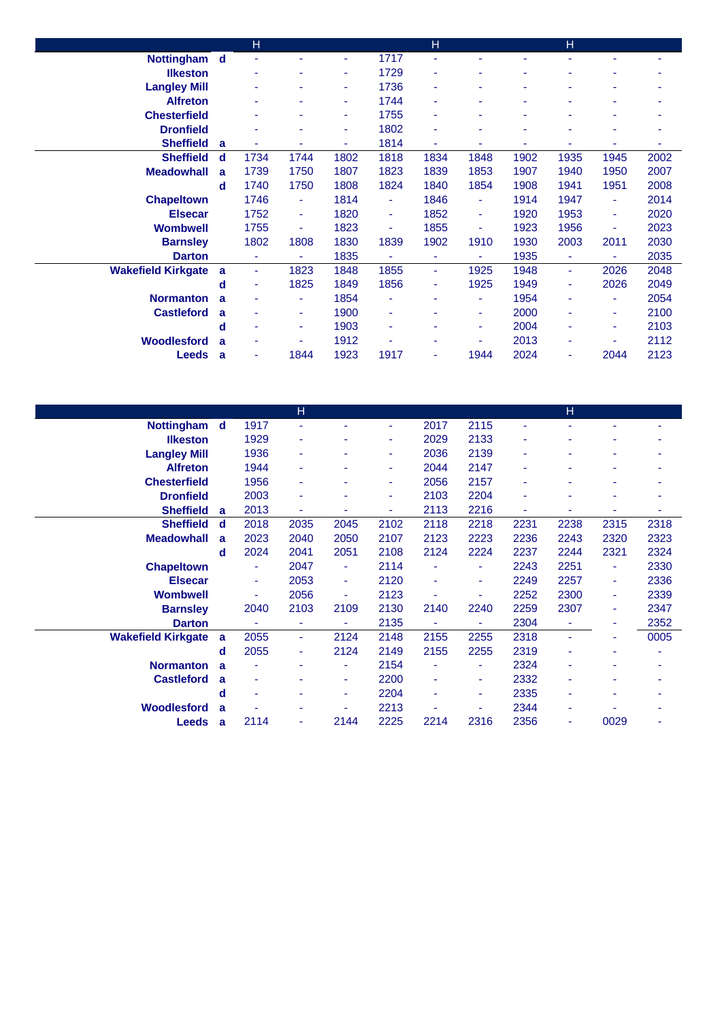|                           |   | H    |      |      |                | $\overline{H}$ |                |      | H    |      |      |
|---------------------------|---|------|------|------|----------------|----------------|----------------|------|------|------|------|
| Nottingham d              |   |      | ÷.   | ٠    | 1717           | ٠              | ٠              |      |      | ٠    |      |
| <b>Ilkeston</b>           |   |      |      | ٠    | 1729           | ٠              | ۰              |      |      |      |      |
| <b>Langley Mill</b>       |   |      |      | ٠    | 1736           | ٠              | ۰              |      |      | ۰    |      |
| <b>Alfreton</b>           |   | ٠    | ۰    | ٠    | 1744           | ٠              | ۰              |      | ٠    | ۰    |      |
| <b>Chesterfield</b>       |   |      |      | ٠    | 1755           | ٠              |                |      |      | ۰    |      |
| <b>Dronfield</b>          |   |      |      | ٠    | 1802           | ۰              | ۰              |      |      |      |      |
| <b>Sheffield</b>          | a |      | ۰    | ٠    | 1814           | ۰              | ۰              |      |      | ۰    | ۰    |
| <b>Sheffield</b>          | d | 1734 | 1744 | 1802 | 1818           | 1834           | 1848           | 1902 | 1935 | 1945 | 2002 |
| <b>Meadowhall</b>         | a | 1739 | 1750 | 1807 | 1823           | 1839           | 1853           | 1907 | 1940 | 1950 | 2007 |
|                           | d | 1740 | 1750 | 1808 | 1824           | 1840           | 1854           | 1908 | 1941 | 1951 | 2008 |
| <b>Chapeltown</b>         |   | 1746 | ٠    | 1814 | ٠              | 1846           | ٠              | 1914 | 1947 | ٠    | 2014 |
| <b>Elsecar</b>            |   | 1752 | ٠    | 1820 | $\blacksquare$ | 1852           | ٠              | 1920 | 1953 | ٠    | 2020 |
| <b>Wombwell</b>           |   | 1755 | ۰    | 1823 | ٠              | 1855           | ٠              | 1923 | 1956 | ٠    | 2023 |
| <b>Barnsley</b>           |   | 1802 | 1808 | 1830 | 1839           | 1902           | 1910           | 1930 | 2003 | 2011 | 2030 |
| <b>Darton</b>             |   | ۰    | ۰    | 1835 | ۰              | ٠              | $\blacksquare$ | 1935 | ٠    | ٠    | 2035 |
| <b>Wakefield Kirkgate</b> | a | ٠    | 1823 | 1848 | 1855           | $\sim$         | 1925           | 1948 | ÷.   | 2026 | 2048 |
|                           | d | ۰    | 1825 | 1849 | 1856           | ٠              | 1925           | 1949 | ٠    | 2026 | 2049 |
| <b>Normanton</b>          | a |      | ۰    | 1854 | ۰              | ٠              | ٠              | 1954 | ۰    | ٠    | 2054 |
| <b>Castleford</b>         | a |      | ٠    | 1900 | ٠              | ٠              | ٠              | 2000 | ٠    | ٠    | 2100 |
|                           | d |      | ۰    | 1903 | ٠              | ٠              | ٠              | 2004 |      | ٠    | 2103 |
| <b>Woodlesford</b>        | a |      |      | 1912 |                | ۰              |                | 2013 |      | ۰    | 2112 |
| <b>Leeds</b>              | a | ۰    | 1844 | 1923 | 1917           | ٠              | 1944           | 2024 |      | 2044 | 2123 |

|                           |     |      | Н    |      |      |      |                |      | н      |      |      |
|---------------------------|-----|------|------|------|------|------|----------------|------|--------|------|------|
| <b>Nottingham</b>         | - d | 1917 | ٠    |      | ٠    | 2017 | 2115           | ٠    |        |      |      |
| <b>Ilkeston</b>           |     | 1929 | ٠    |      | ٠    | 2029 | 2133           | ٠    |        |      |      |
| <b>Langley Mill</b>       |     | 1936 | ٠    |      | ٠    | 2036 | 2139           | ٠    |        | ۰    | ۰    |
| <b>Alfreton</b>           |     | 1944 | ٠    |      | ٠    | 2044 | 2147           | ٠    |        | ۰    | ۰    |
| <b>Chesterfield</b>       |     | 1956 | ٠    |      | ٠    | 2056 | 2157           |      |        |      |      |
| <b>Dronfield</b>          |     | 2003 | ٠    |      | ٠    | 2103 | 2204           | ٠    |        |      |      |
| <b>Sheffield</b>          | a   | 2013 | ۰    |      | ٠    | 2113 | 2216           | ۰    |        | ۰    | ۰    |
| <b>Sheffield</b>          | d   | 2018 | 2035 | 2045 | 2102 | 2118 | 2218           | 2231 | 2238   | 2315 | 2318 |
| <b>Meadowhall</b>         | a   | 2023 | 2040 | 2050 | 2107 | 2123 | 2223           | 2236 | 2243   | 2320 | 2323 |
|                           | d   | 2024 | 2041 | 2051 | 2108 | 2124 | 2224           | 2237 | 2244   | 2321 | 2324 |
| <b>Chapeltown</b>         |     | Ξ    | 2047 | ٠    | 2114 | ٠    | $\blacksquare$ | 2243 | 2251   | ٠    | 2330 |
| <b>Elsecar</b>            |     | ٠    | 2053 | ÷    | 2120 | ٠    | ٠              | 2249 | 2257   | ٠    | 2336 |
| <b>Wombwell</b>           |     | ä,   | 2056 | ÷    | 2123 | ۰    | ٠              | 2252 | 2300   | ٠    | 2339 |
| <b>Barnsley</b>           |     | 2040 | 2103 | 2109 | 2130 | 2140 | 2240           | 2259 | 2307   | ٠    | 2347 |
| <b>Darton</b>             |     | ٠    | ٠    | ٠    | 2135 | ٠    | $\blacksquare$ | 2304 | ٠      | ۰    | 2352 |
| <b>Wakefield Kirkgate</b> | a   | 2055 | ٠.   | 2124 | 2148 | 2155 | 2255           | 2318 | $\sim$ | ٠    | 0005 |
|                           | d   | 2055 | ٠    | 2124 | 2149 | 2155 | 2255           | 2319 |        | ٠    | ٠    |
| <b>Normanton</b>          | a   | ۰    | ۰    | ٠    | 2154 | ٠    | ٠              | 2324 |        |      | ۰    |
| <b>Castleford</b>         | a   | ۰    |      | ٠    | 2200 | ٠    | ٠              | 2332 |        |      | ۰    |
|                           | d   | ۰    | ۰    | ٠    | 2204 | ٠    | ٠              | 2335 | ۰      | ۰    | ۰    |
| <b>Woodlesford</b>        | a   |      |      |      | 2213 |      | ۰              | 2344 | ۰      |      | ۰    |
| <b>Leeds</b>              | a   | 2114 | ٠    | 2144 | 2225 | 2214 | 2316           | 2356 |        | 0029 | ۰    |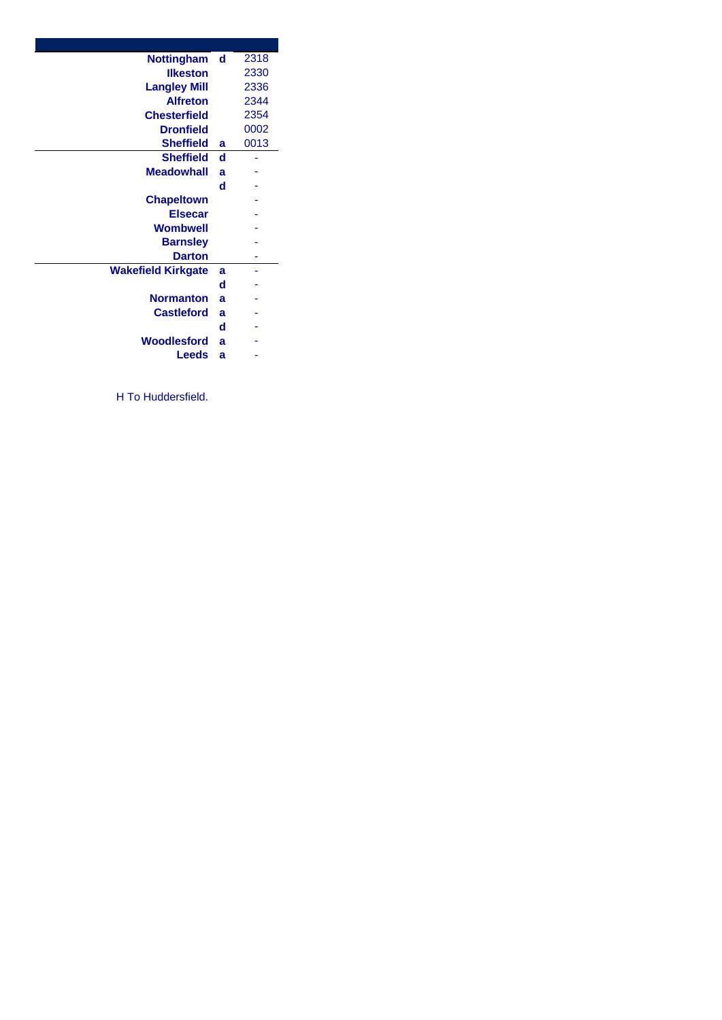| <b>Nottingham</b>         | d | 2318 |
|---------------------------|---|------|
| <b>Ilkeston</b>           |   | 2330 |
| <b>Langley Mill</b>       |   | 2336 |
| <b>Alfreton</b>           |   | 2344 |
| <b>Chesterfield</b>       |   | 2354 |
| <b>Dronfield</b>          |   | 0002 |
| <b>Sheffield</b>          | a | 0013 |
| <b>Sheffield</b>          | d |      |
| <b>Meadowhall</b>         | a |      |
|                           | d |      |
| <b>Chapeltown</b>         |   |      |
| <b>Elsecar</b>            |   |      |
| Wombwell                  |   |      |
| <b>Barnsley</b>           |   |      |
| <b>Darton</b>             |   |      |
| <b>Wakefield Kirkgate</b> | a |      |
|                           | d |      |
| <b>Normanton</b>          | a |      |
| <b>Castleford</b>         | a |      |
|                           | d |      |
| Woodlesford               | a |      |
| <b>Leeds</b>              | a |      |
|                           |   |      |

H To Huddersfield.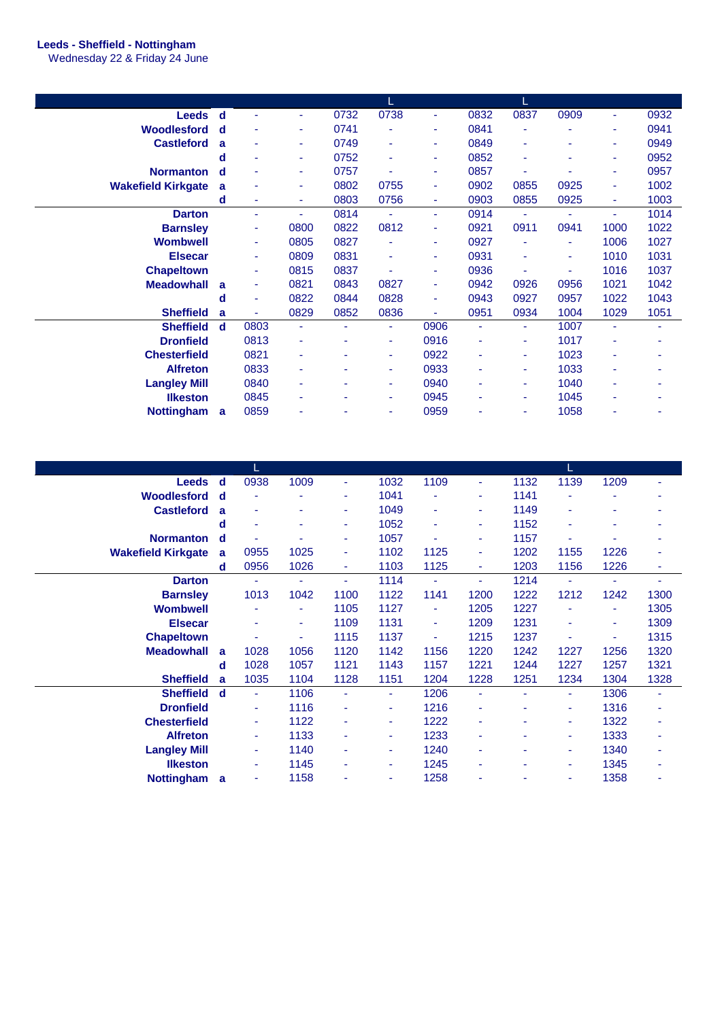## **Leeds - Sheffield - Nottingham**

Wednesday 22 & Friday 24 June

| <b>Leeds</b>              | ∣ d          |      | ÷    | 0732 | 0738           | ٠              | 0832           | 0837           | 0909 | ٠    | 0932 |
|---------------------------|--------------|------|------|------|----------------|----------------|----------------|----------------|------|------|------|
| Woodlesford               | $\mathbf d$  | ۰    | ٠    | 0741 | ٠              | ٠              | 0841           | ٠              |      | ٠    | 0941 |
| <b>Castleford</b>         | a            | ٠    | ۰    | 0749 | ۰              | ۰              | 0849           | ٠              |      | ٠    | 0949 |
|                           | d            | ۰    | ٠    | 0752 | ٠              | ٠              | 0852           | ٠              |      | ٠    | 0952 |
| <b>Normanton</b>          | $\mathbf d$  |      | ٠    | 0757 |                | ٠              | 0857           | ٠              |      | ٠    | 0957 |
| <b>Wakefield Kirkgate</b> | a            |      | ۰    | 0802 | 0755           | ٠              | 0902           | 0855           | 0925 | ٠    | 1002 |
|                           | d            | ۰    | ٠    | 0803 | 0756           | $\blacksquare$ | 0903           | 0855           | 0925 | ٠    | 1003 |
| <b>Darton</b>             |              | ٠    | ÷.   | 0814 | $\blacksquare$ | $\blacksquare$ | 0914           | $\blacksquare$ | ٠    | ÷.   | 1014 |
| <b>Barnsley</b>           |              | ٠    | 0800 | 0822 | 0812           | $\blacksquare$ | 0921           | 0911           | 0941 | 1000 | 1022 |
| <b>Wombwell</b>           |              | ٠    | 0805 | 0827 | ۰              | ٠              | 0927           | ٠              |      | 1006 | 1027 |
| <b>Elsecar</b>            |              | ٠    | 0809 | 0831 | ٠              | ٠              | 0931           | ٠              | ۰    | 1010 | 1031 |
| <b>Chapeltown</b>         |              | ٠    | 0815 | 0837 |                | ٠              | 0936           | $\blacksquare$ |      | 1016 | 1037 |
| <b>Meadowhall</b>         | $\mathbf{a}$ | ٠    | 0821 | 0843 | 0827           | ٠              | 0942           | 0926           | 0956 | 1021 | 1042 |
|                           | d            | ٠    | 0822 | 0844 | 0828           | ٠              | 0943           | 0927           | 0957 | 1022 | 1043 |
| <b>Sheffield</b>          | a            | ÷.   | 0829 | 0852 | 0836           | $\blacksquare$ | 0951           | 0934           | 1004 | 1029 | 1051 |
| <b>Sheffield</b>          | d            | 0803 | ÷    | ٠    | ٠              | 0906           | $\blacksquare$ | ٠              | 1007 | ٠    |      |
| <b>Dronfield</b>          |              | 0813 | ٠    |      | ٠              | 0916           | ۰              | ٠              | 1017 | ۰    |      |
| <b>Chesterfield</b>       |              | 0821 | ۰    |      | ٠              | 0922           | ۰              | ٠              | 1023 | ۰    |      |
| <b>Alfreton</b>           |              | 0833 | ٠    |      | $\blacksquare$ | 0933           | ٠              | ٠              | 1033 | ۰    |      |
| <b>Langley Mill</b>       |              | 0840 | ٠    |      | ٠              | 0940           | ٠              | ٠              | 1040 | ٠    |      |
| <b>Ilkeston</b>           |              | 0845 | ٠    |      | ٠              | 0945           | ۰              | ٠              | 1045 | ٠    |      |
| <b>Nottingham</b>         | $\mathbf{a}$ | 0859 |      |      | ٠              | 0959           | ۰              | $\blacksquare$ | 1058 |      |      |

| <b>Leeds</b>              | d | 0938 | 1009 | ٠              | 1032 | 1109 | $\blacksquare$ | 1132 | 1139 | 1209 |      |
|---------------------------|---|------|------|----------------|------|------|----------------|------|------|------|------|
| <b>Woodlesford</b>        | d | ٠    |      | ۰              | 1041 | ٠    | ٠              | 1141 |      |      |      |
| <b>Castleford</b>         | a | ٠    |      | ٠              | 1049 | ٠    | ٠              | 1149 | ۰    | ۰    | ۰    |
|                           | d | ۰    | ٠    | ٠              | 1052 | ٠    | ٠              | 1152 | ۰    | ٠    |      |
| <b>Normanton</b>          | d |      |      | ۰              | 1057 | ٠    | ٠              | 1157 |      |      |      |
| <b>Wakefield Kirkgate</b> | a | 0955 | 1025 | ٠              | 1102 | 1125 | ٠              | 1202 | 1155 | 1226 |      |
|                           | d | 0956 | 1026 | ٠              | 1103 | 1125 | $\blacksquare$ | 1203 | 1156 | 1226 | ٠    |
| <b>Darton</b>             |   | ٠    |      | $\blacksquare$ | 1114 | ٠    | ٠              | 1214 | ٠    | ٠    |      |
| <b>Barnsley</b>           |   | 1013 | 1042 | 1100           | 1122 | 1141 | 1200           | 1222 | 1212 | 1242 | 1300 |
| <b>Wombwell</b>           |   |      |      | 1105           | 1127 | ٠    | 1205           | 1227 |      | ۰    | 1305 |
| <b>Elsecar</b>            |   | ۰    | ٠    | 1109           | 1131 | ٠    | 1209           | 1231 | ۰    | ٠    | 1309 |
| <b>Chapeltown</b>         |   | ۰    | ٠    | 1115           | 1137 | ٠    | 1215           | 1237 |      | ٠    | 1315 |
| <b>Meadowhall</b>         | a | 1028 | 1056 | 1120           | 1142 | 1156 | 1220           | 1242 | 1227 | 1256 | 1320 |
|                           | d | 1028 | 1057 | 1121           | 1143 | 1157 | 1221           | 1244 | 1227 | 1257 | 1321 |
| <b>Sheffield</b>          | a | 1035 | 1104 | 1128           | 1151 | 1204 | 1228           | 1251 | 1234 | 1304 | 1328 |
| <b>Sheffield</b>          | d | ٠    | 1106 | $\sim$         | ٠    | 1206 | $\blacksquare$ | ٠    | ۰.   | 1306 | ٠    |
| <b>Dronfield</b>          |   | ٠    | 1116 | ۰              | ٠    | 1216 | ٠              |      | ٠    | 1316 |      |
| <b>Chesterfield</b>       |   | ٠    | 1122 | ۰              | ۰    | 1222 | ٠              |      | ۰.   | 1322 | ٠    |
| <b>Alfreton</b>           |   | ٠    | 1133 | ٠              | ٠    | 1233 | $\blacksquare$ | ٠    | ٠    | 1333 | ٠    |
| <b>Langley Mill</b>       |   | ٠    | 1140 | ٠              | ٠    | 1240 | ۰              | ٠    | ٠    | 1340 | ٠    |
| <b>Ilkeston</b>           |   | ٠    | 1145 |                | ۰    | 1245 |                | ۰    | ۰    | 1345 |      |
| <b>Nottingham</b>         | a | ٠    | 1158 |                | ٠    | 1258 | ٠              |      | ۰    | 1358 | ٠    |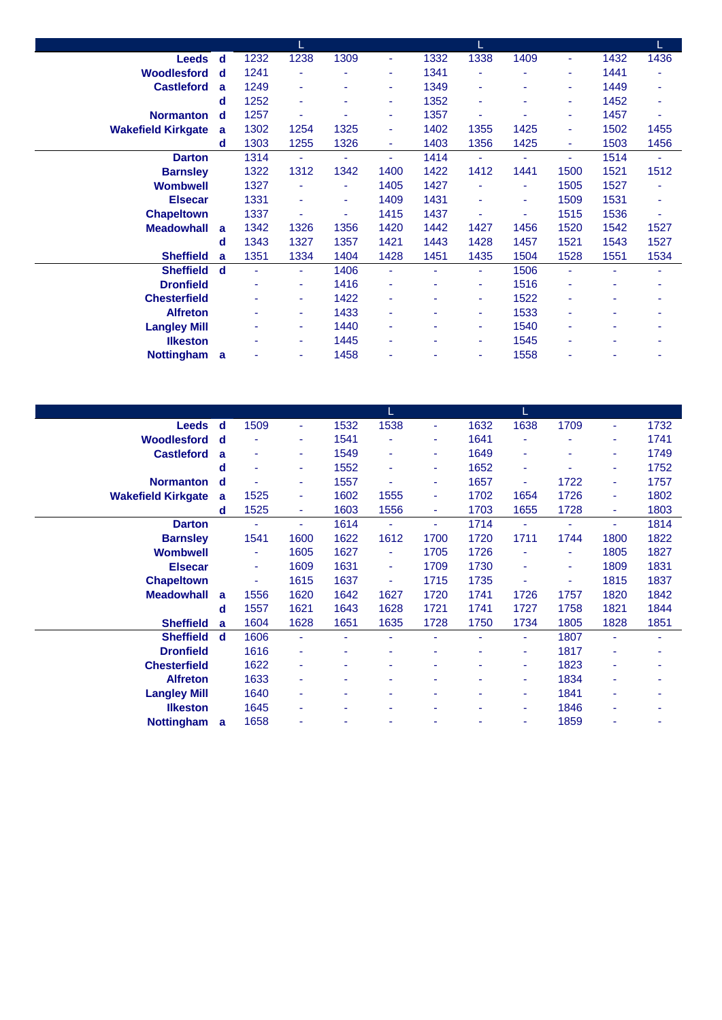| Leeds d                   |             | 1232 | 1238 | 1309 | $\blacksquare$ | 1332 | 1338           | 1409 | ٠.   | 1432 | 1436 |
|---------------------------|-------------|------|------|------|----------------|------|----------------|------|------|------|------|
| <b>Woodlesford</b>        | - d         | 1241 |      |      | ٠              | 1341 |                | ٠    | ۰    | 1441 |      |
| <b>Castleford</b>         | a           | 1249 | ٠    | ٠    | ٠              | 1349 | $\blacksquare$ |      | ٠    | 1449 | ۰    |
|                           | d           | 1252 | ۰    | ۰    | ٠              | 1352 | ٠              | ۰    | ۰    | 1452 | ٠    |
| <b>Normanton</b>          | d           | 1257 | ٠    |      | ٠              | 1357 |                |      | ٠    | 1457 | ٠    |
| <b>Wakefield Kirkgate</b> | a           | 1302 | 1254 | 1325 | $\blacksquare$ | 1402 | 1355           | 1425 | ۰    | 1502 | 1455 |
|                           | d           | 1303 | 1255 | 1326 | $\blacksquare$ | 1403 | 1356           | 1425 | ٠    | 1503 | 1456 |
| <b>Darton</b>             |             | 1314 | ٠    | ٠    | $\blacksquare$ | 1414 | $\blacksquare$ | ٠    | ÷.   | 1514 | ٠    |
| <b>Barnsley</b>           |             | 1322 | 1312 | 1342 | 1400           | 1422 | 1412           | 1441 | 1500 | 1521 | 1512 |
| <b>Wombwell</b>           |             | 1327 |      |      | 1405           | 1427 |                | ٠    | 1505 | 1527 |      |
| <b>Elsecar</b>            |             | 1331 | ۰    | ٠    | 1409           | 1431 | ٠              | ۰    | 1509 | 1531 | ۰    |
| <b>Chapeltown</b>         |             | 1337 | ۰    | ۰    | 1415           | 1437 |                | ٠    | 1515 | 1536 | ٠    |
| <b>Meadowhall</b>         | a           | 1342 | 1326 | 1356 | 1420           | 1442 | 1427           | 1456 | 1520 | 1542 | 1527 |
|                           | d           | 1343 | 1327 | 1357 | 1421           | 1443 | 1428           | 1457 | 1521 | 1543 | 1527 |
| <b>Sheffield</b>          | a           | 1351 | 1334 | 1404 | 1428           | 1451 | 1435           | 1504 | 1528 | 1551 | 1534 |
| <b>Sheffield</b>          | $\mathbf d$ | ÷    | ÷.   | 1406 | $\blacksquare$ | ÷    | $\blacksquare$ | 1506 | ÷    | ä,   |      |
| <b>Dronfield</b>          |             |      | ۰    | 1416 |                | ۰    | ٠              | 1516 |      |      |      |
| <b>Chesterfield</b>       |             |      | ۰    | 1422 | ٠              | ٠    | ٠              | 1522 | ۰    | ۰    | ۰    |
| <b>Alfreton</b>           |             |      | ٠    | 1433 | $\sim$         | ٠    | ٠              | 1533 | ٠    | ۰    |      |
| <b>Langley Mill</b>       |             |      | ۰    | 1440 | $\sim$         | ٠    | ٠              | 1540 | ۰    | ۰    |      |
| <b>Ilkeston</b>           |             |      | ۰    | 1445 | ۰              | ٠    | ٠              | 1545 |      | ۰    |      |
| <b>Nottingham</b>         | - a         |      | ۰    | 1458 |                | ۰    | ٠              | 1558 |      | ۰    |      |

| <b>Leeds</b>              | $\mathbf d$ | 1509           | ٠              | 1532 | 1538 | ٠    | 1632 | 1638 | 1709 | ٠    | 1732 |
|---------------------------|-------------|----------------|----------------|------|------|------|------|------|------|------|------|
| Woodlesford               | d           |                | ٠              | 1541 |      | ۰    | 1641 | ۰    |      |      | 1741 |
| <b>Castleford</b>         | a           | ٠              | ۰              | 1549 | ٠    | ۰    | 1649 | ۰    |      | ٠    | 1749 |
|                           | d           | ٠              | ٠              | 1552 | ٠    | ۰    | 1652 | ٠    |      | ٠    | 1752 |
| <b>Normanton</b>          | d           |                | ٠              | 1557 | ٠    | ۰    | 1657 | ٠    | 1722 | ٠    | 1757 |
| <b>Wakefield Kirkgate</b> | a           | 1525           | ٠              | 1602 | 1555 | ۰    | 1702 | 1654 | 1726 | ٠    | 1802 |
|                           | d           | 1525           | ٠              | 1603 | 1556 | ٠    | 1703 | 1655 | 1728 | ٠    | 1803 |
| <b>Darton</b>             |             | ۰              | ٠              | 1614 | ٠    | ÷    | 1714 | ٠    |      | ٠    | 1814 |
| <b>Barnsley</b>           |             | 1541           | 1600           | 1622 | 1612 | 1700 | 1720 | 1711 | 1744 | 1800 | 1822 |
| <b>Wombwell</b>           |             | $\blacksquare$ | 1605           | 1627 | ٠    | 1705 | 1726 | ۰    | ٠    | 1805 | 1827 |
| <b>Elsecar</b>            |             | $\blacksquare$ | 1609           | 1631 | ٠    | 1709 | 1730 | ٠    | ٠    | 1809 | 1831 |
| <b>Chapeltown</b>         |             | $\blacksquare$ | 1615           | 1637 | ٠    | 1715 | 1735 | ٠    | ۳    | 1815 | 1837 |
| <b>Meadowhall</b>         | a           | 1556           | 1620           | 1642 | 1627 | 1720 | 1741 | 1726 | 1757 | 1820 | 1842 |
|                           | d           | 1557           | 1621           | 1643 | 1628 | 1721 | 1741 | 1727 | 1758 | 1821 | 1844 |
| <b>Sheffield</b>          | a           | 1604           | 1628           | 1651 | 1635 | 1728 | 1750 | 1734 | 1805 | 1828 | 1851 |
| <b>Sheffield</b>          | d           | 1606           | $\blacksquare$ |      | ٠    | ä,   | ٠    | ٠    | 1807 | ٠    | ۰    |
| <b>Dronfield</b>          |             | 1616           | ۰              |      |      |      |      | ۰    | 1817 |      |      |
| <b>Chesterfield</b>       |             | 1622           | ٠              |      |      |      |      | ٠    | 1823 |      |      |
| <b>Alfreton</b>           |             | 1633           | ٠              |      | ۰    |      |      | ۰    | 1834 |      |      |
| <b>Langley Mill</b>       |             | 1640           | ۰              |      | ۰    |      |      | ۰    | 1841 |      |      |
| <b>Ilkeston</b>           |             | 1645           | ۰              |      |      |      |      | ۰    | 1846 |      |      |
| <b>Nottingham</b>         | a           | 1658           | ۰              |      | ۰    |      |      | ۰    | 1859 |      |      |